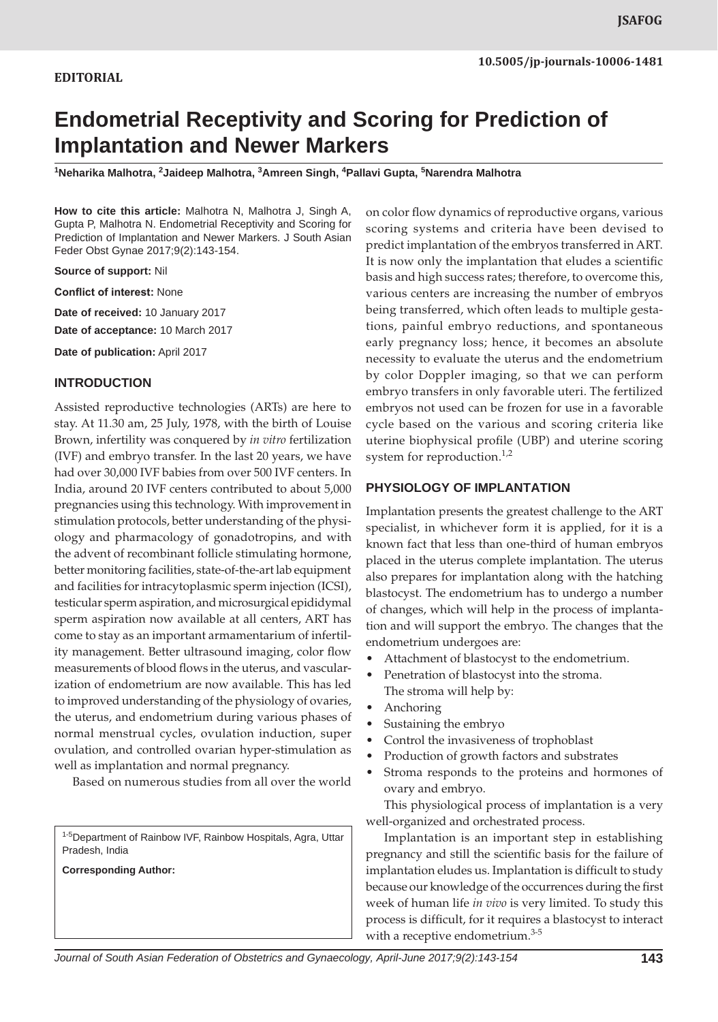# **EDITORIAL**

# **Endometrial Receptivity and Scoring for Prediction of Implantation and Newer Markers**

**1 Neharika Malhotra, <sup>2</sup> Jaideep Malhotra, 3 Amreen Singh, 4 Pallavi Gupta, 5 Narendra Malhotra**

**How to cite this article:** Malhotra N, Malhotra J, Singh A, Gupta P, Malhotra N. Endometrial Receptivity and Scoring for Prediction of Implantation and Newer Markers. J South Asian Feder Obst Gynae 2017;9(2):143-154.

**Source of support:** Nil

**Conflict of interest:** None

**Date of received:** 10 January 2017

**Date of acceptance:** 10 March 2017

**Date of publication:** April 2017

#### **INTRODUCTION**

Assisted reproductive technologies (ARTs) are here to stay. At 11.30 am, 25 July, 1978, with the birth of Louise Brown, infertility was conquered by *in vitro* fertilization (IVF) and embryo transfer. In the last 20 years, we have had over 30,000 IVF babies from over 500 IVF centers. In India, around 20 IVF centers contributed to about 5,000 pregnancies using this technology. With improvement in stimulation protocols, better understanding of the physiology and pharmacology of gonadotropins, and with the advent of recombinant follicle stimulating hormone, better monitoring facilities, state-of-the-art lab equipment and facilities for intracytoplasmic sperm injection (ICSI), testicular sperm aspiration, and microsurgical epididymal sperm aspiration now available at all centers, ART has come to stay as an important armamentarium of infertility management. Better ultrasound imaging, color flow measurements of blood flows in the uterus, and vascularization of endometrium are now available. This has led to improved understanding of the physiology of ovaries, the uterus, and endometrium during various phases of normal menstrual cycles, ovulation induction, super ovulation, and controlled ovarian hyper-stimulation as well as implantation and normal pregnancy.

Based on numerous studies from all over the world

1-5Department of Rainbow IVF, Rainbow Hospitals, Agra, Uttar Pradesh, India

**Corresponding Author:**

on color flow dynamics of reproductive organs, various scoring systems and criteria have been devised to predict implantation of the embryos transferred in ART. It is now only the implantation that eludes a scientific basis and high success rates; therefore, to overcome this, various centers are increasing the number of embryos being transferred, which often leads to multiple gestations, painful embryo reductions, and spontaneous early pregnancy loss; hence, it becomes an absolute necessity to evaluate the uterus and the endometrium by color Doppler imaging, so that we can perform embryo transfers in only favorable uteri. The fertilized embryos not used can be frozen for use in a favorable cycle based on the various and scoring criteria like uterine biophysical profile (UBP) and uterine scoring system for reproduction.<sup>1,2</sup>

#### **PHYSIOLOGY OF IMPLANTATION**

Implantation presents the greatest challenge to the ART specialist, in whichever form it is applied, for it is a known fact that less than one-third of human embryos placed in the uterus complete implantation. The uterus also prepares for implantation along with the hatching blastocyst. The endometrium has to undergo a number of changes, which will help in the process of implantation and will support the embryo. The changes that the endometrium undergoes are:

- • Attachment of blastocyst to the endometrium.
- Penetration of blastocyst into the stroma. The stroma will help by:
- Anchoring
- Sustaining the embryo
- Control the invasiveness of trophoblast
- • Production of growth factors and substrates
- Stroma responds to the proteins and hormones of ovary and embryo.

This physiological process of implantation is a very well-organized and orchestrated process.

Implantation is an important step in establishing pregnancy and still the scientific basis for the failure of implantation eludes us. Implantation is difficult to study because our knowledge of the occurrences during the first week of human life *in vivo* is very limited. To study this process is difficult, for it requires a blastocyst to interact with a receptive endometrium.<sup>3-5</sup>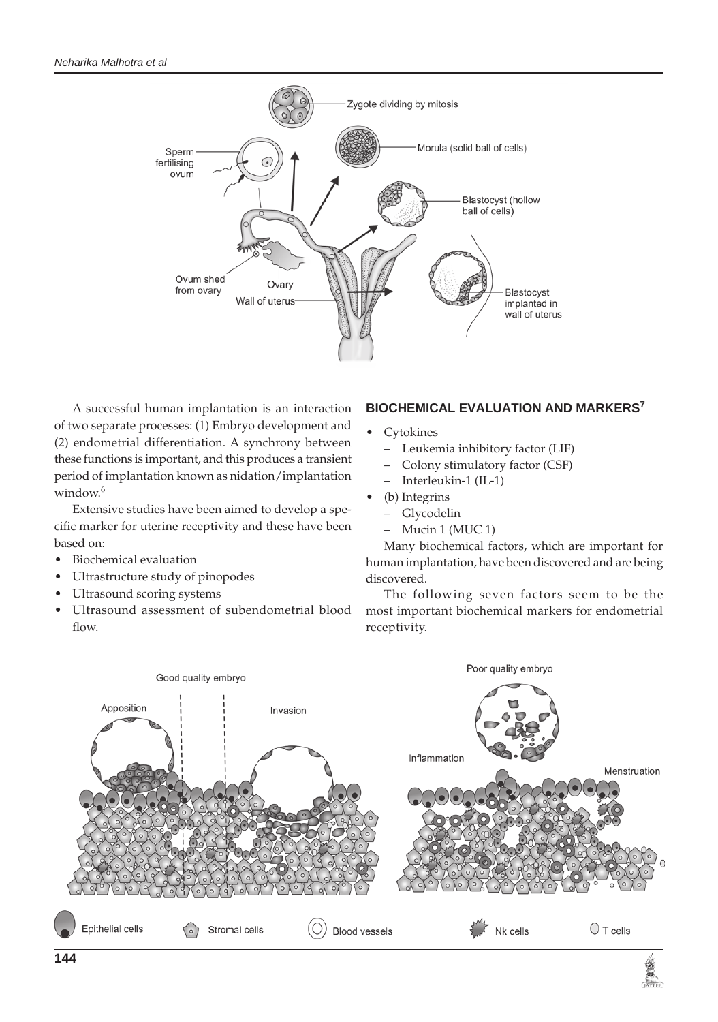

A successful human implantation is an interaction of two separate processes: (1) Embryo development and (2) endometrial differentiation. A synchrony between these functions is important, and this produces a transient period of implantation known as nidation/implantation window. $6$ 

Extensive studies have been aimed to develop a specific marker for uterine receptivity and these have been based on:

- • Biochemical evaluation
- Ultrastructure study of pinopodes
- Ultrasound scoring systems
- Ultrasound assessment of subendometrial blood flow.

# **BIOCHEMICAL EVALUATION AND MARKERS<sup>7</sup>**

- **Cytokines** 
	- Leukemia inhibitory factor (LIF)
	- Colony stimulatory factor (CSF)
	- Interleukin-1 (IL-1)
- (b) Integrins
	- Glycodelin
	- Mucin 1 (MUC 1)

Many biochemical factors, which are important for human implantation, have been discovered and are being discovered.

The following seven factors seem to be the most important biochemical markers for endometrial receptivity.

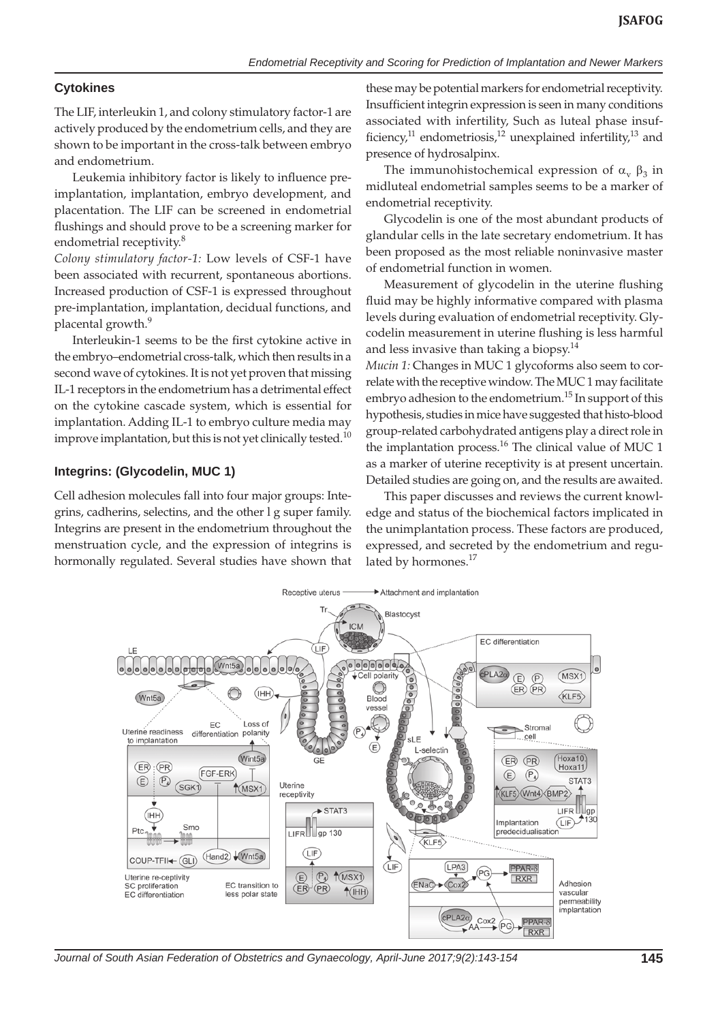# **Cytokines**

The LIF, interleukin 1, and colony stimulatory factor-1 are actively produced by the endometrium cells, and they are shown to be important in the cross-talk between embryo and endometrium.

Leukemia inhibitory factor is likely to influence preimplantation, implantation, embryo development, and placentation. The LIF can be screened in endometrial flushings and should prove to be a screening marker for endometrial receptivity.<sup>8</sup>

*Colony stimulatory factor-1:* Low levels of CSF-1 have been associated with recurrent, spontaneous abortions. Increased production of CSF-1 is expressed throughout pre-implantation, implantation, decidual functions, and placental growth.9

Interleukin-1 seems to be the first cytokine active in the embryo–endometrial cross-talk, which then results in a second wave of cytokines. It is not yet proven that missing IL-1 receptors in the endometrium has a detrimental effect on the cytokine cascade system, which is essential for implantation. Adding IL-1 to embryo culture media may improve implantation, but this is not yet clinically tested.<sup>10</sup>

### **Integrins: (Glycodelin, MUC 1)**

Cell adhesion molecules fall into four major groups: Integrins, cadherins, selectins, and the other l g super family. Integrins are present in the endometrium throughout the menstruation cycle, and the expression of integrins is hormonally regulated. Several studies have shown that these may be potential markers for endometrial receptivity. Insufficient integrin expression is seen in many conditions associated with infertility, Such as luteal phase insufficiency,<sup>11</sup> endometriosis,<sup>12</sup> unexplained infertility,<sup>13</sup> and presence of hydrosalpinx.

The immunohistochemical expression of  $\alpha_{\rm v}$   $\beta_3$  in midluteal endometrial samples seems to be a marker of endometrial receptivity.

Glycodelin is one of the most abundant products of glandular cells in the late secretary endometrium. It has been proposed as the most reliable noninvasive master of endometrial function in women.

Measurement of glycodelin in the uterine flushing fluid may be highly informative compared with plasma levels during evaluation of endometrial receptivity. Glycodelin measurement in uterine flushing is less harmful and less invasive than taking a biopsy.<sup>14</sup>

*Mucin 1:* Changes in MUC 1 glycoforms also seem to correlate with the receptive window. The MUC 1 may facilitate embryo adhesion to the endometrium.<sup>15</sup> In support of this hypothesis, studies in mice have suggested that histo-blood group-related carbohydrated antigens play a direct role in the implantation process.<sup>16</sup> The clinical value of MUC 1 as a marker of uterine receptivity is at present uncertain. Detailed studies are going on, and the results are awaited.

This paper discusses and reviews the current knowledge and status of the biochemical factors implicated in the unimplantation process. These factors are produced, expressed, and secreted by the endometrium and regulated by hormones.<sup>17</sup>



*Journal of South Asian Federation of Obstetrics and Gynaecology, April-June 2017;9(2):143-154* **145**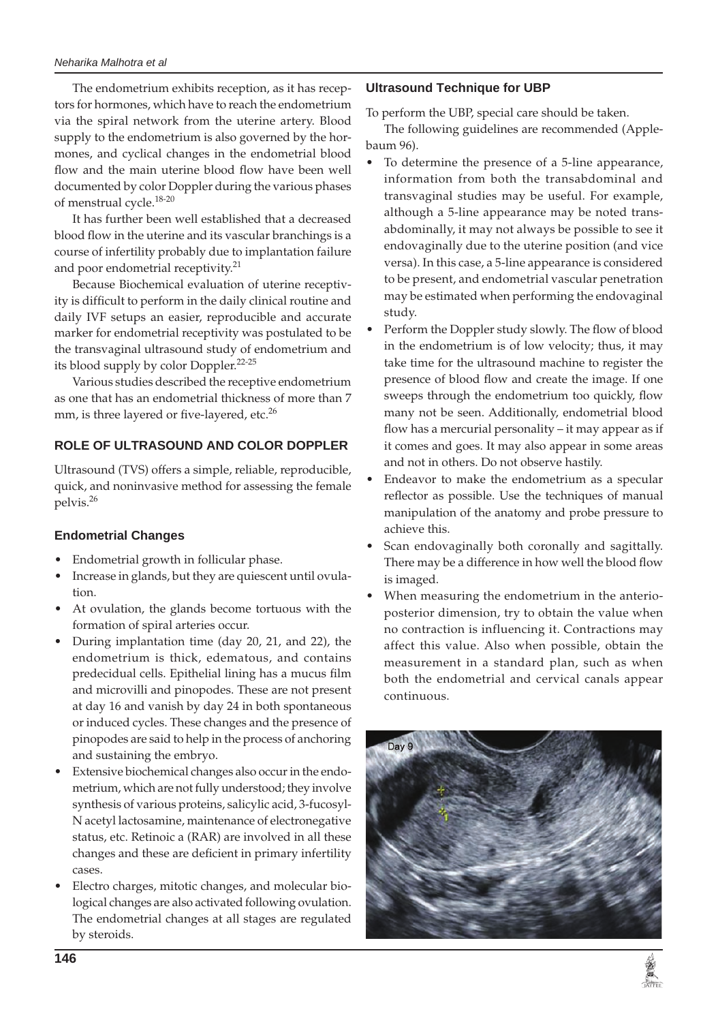The endometrium exhibits reception, as it has receptors for hormones, which have to reach the endometrium via the spiral network from the uterine artery. Blood supply to the endometrium is also governed by the hormones, and cyclical changes in the endometrial blood flow and the main uterine blood flow have been well documented by color Doppler during the various phases of menstrual cycle.18-20

It has further been well established that a decreased blood flow in the uterine and its vascular branchings is a course of infertility probably due to implantation failure and poor endometrial receptivity.<sup>21</sup>

Because Biochemical evaluation of uterine receptivity is difficult to perform in the daily clinical routine and daily IVF setups an easier, reproducible and accurate marker for endometrial receptivity was postulated to be the transvaginal ultrasound study of endometrium and its blood supply by color Doppler.<sup>22-25</sup>

Various studies described the receptive endometrium as one that has an endometrial thickness of more than 7 mm, is three layered or five-layered, etc.<sup>26</sup>

# **ROLE OF ULTRASOUND AND COLOR DOPPLER**

Ultrasound (TVS) offers a simple, reliable, reproducible, quick, and noninvasive method for assessing the female pelvis.26

## **Endometrial Changes**

- Endometrial growth in follicular phase.
- Increase in glands, but they are quiescent until ovulation.
- At ovulation, the glands become tortuous with the formation of spiral arteries occur.
- During implantation time (day 20, 21, and 22), the endometrium is thick, edematous, and contains predecidual cells. Epithelial lining has a mucus film and microvilli and pinopodes. These are not present at day 16 and vanish by day 24 in both spontaneous or induced cycles. These changes and the presence of pinopodes are said to help in the process of anchoring and sustaining the embryo.
- Extensive biochemical changes also occur in the endometrium, which are not fully understood; they involve synthesis of various proteins, salicylic acid, 3-fucosyl-N acetyl lactosamine, maintenance of electronegative status, etc. Retinoic a (RAR) are involved in all these changes and these are deficient in primary infertility cases.
- Electro charges, mitotic changes, and molecular biological changes are also activated following ovulation. The endometrial changes at all stages are regulated by steroids.

# **Ultrasound Technique for UBP**

To perform the UBP, special care should be taken.

The following guidelines are recommended (Applebaum 96).

- To determine the presence of a 5-line appearance, information from both the transabdominal and transvaginal studies may be useful. For example, although a 5-line appearance may be noted transabdominally, it may not always be possible to see it endovaginally due to the uterine position (and vice versa). In this case, a 5-line appearance is considered to be present, and endometrial vascular penetration may be estimated when performing the endovaginal study.
- Perform the Doppler study slowly. The flow of blood in the endometrium is of low velocity; thus, it may take time for the ultrasound machine to register the presence of blood flow and create the image. If one sweeps through the endometrium too quickly, flow many not be seen. Additionally, endometrial blood flow has a mercurial personality – it may appear as if it comes and goes. It may also appear in some areas and not in others. Do not observe hastily.
- Endeavor to make the endometrium as a specular reflector as possible. Use the techniques of manual manipulation of the anatomy and probe pressure to achieve this.
- Scan endovaginally both coronally and sagittally. There may be a difference in how well the blood flow is imaged.
- When measuring the endometrium in the anterioposterior dimension, try to obtain the value when no contraction is influencing it. Contractions may affect this value. Also when possible, obtain the measurement in a standard plan, such as when both the endometrial and cervical canals appear continuous.

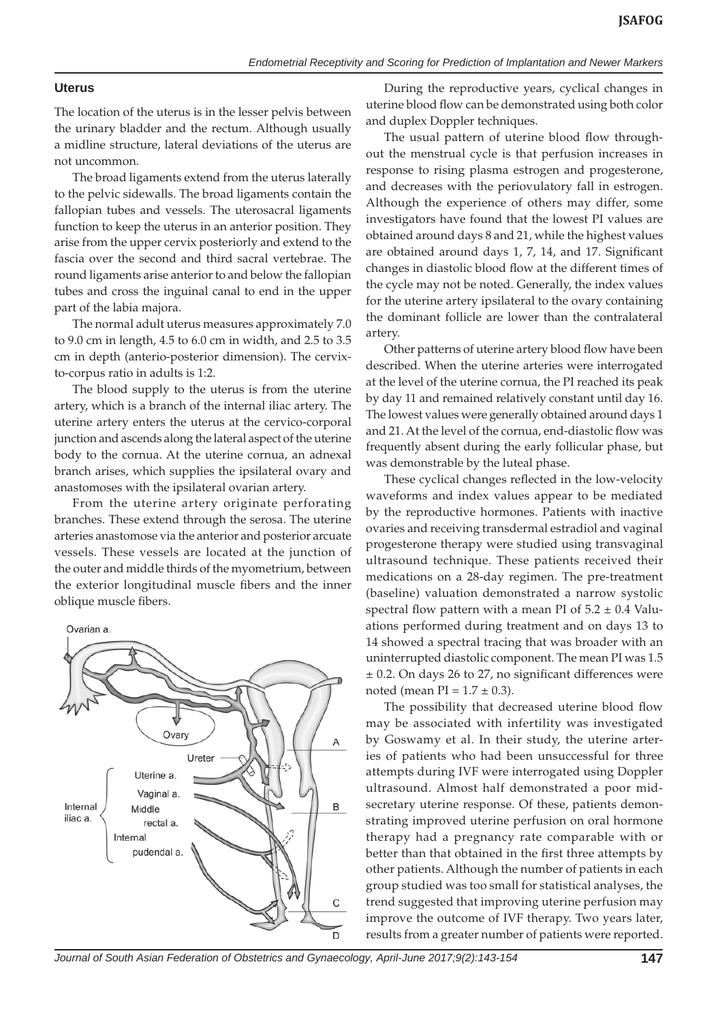#### **Uterus**

The location of the uterus is in the lesser pelvis between the urinary bladder and the rectum. Although usually a midline structure, lateral deviations of the uterus are not uncommon.

The broad ligaments extend from the uterus laterally to the pelvic sidewalls. The broad ligaments contain the fallopian tubes and vessels. The uterosacral ligaments function to keep the uterus in an anterior position. They arise from the upper cervix posteriorly and extend to the fascia over the second and third sacral vertebrae. The round ligaments arise anterior to and below the fallopian tubes and cross the inguinal canal to end in the upper part of the labia majora.

The normal adult uterus measures approximately 7.0 to 9.0 cm in length, 4.5 to 6.0 cm in width, and 2.5 to 3.5 cm in depth (anterio-posterior dimension). The cervixto-corpus ratio in adults is 1:2.

The blood supply to the uterus is from the uterine artery, which is a branch of the internal iliac artery. The uterine artery enters the uterus at the cervico-corporal junction and ascends along the lateral aspect of the uterine body to the cornua. At the uterine cornua, an adnexal branch arises, which supplies the ipsilateral ovary and anastomoses with the ipsilateral ovarian artery.

From the uterine artery originate perforating branches. These extend through the serosa. The uterine arteries anastomose via the anterior and posterior arcuate vessels. These vessels are located at the junction of the outer and middle thirds of the myometrium, between the exterior longitudinal muscle fibers and the inner oblique muscle fibers.



During the reproductive years, cyclical changes in uterine blood flow can be demonstrated using both color and duplex Doppler techniques.

The usual pattern of uterine blood flow throughout the menstrual cycle is that perfusion increases in response to rising plasma estrogen and progesterone, and decreases with the periovulatory fall in estrogen. Although the experience of others may differ, some investigators have found that the lowest PI values are obtained around days 8 and 21, while the highest values are obtained around days 1, 7, 14, and 17. Significant changes in diastolic blood flow at the different times of the cycle may not be noted. Generally, the index values for the uterine artery ipsilateral to the ovary containing the dominant follicle are lower than the contralateral artery.

Other patterns of uterine artery blood flow have been described. When the uterine arteries were interrogated at the level of the uterine cornua, the PI reached its peak by day 11 and remained relatively constant until day 16. The lowest values were generally obtained around days 1 and 21. At the level of the cornua, end-diastolic flow was frequently absent during the early follicular phase, but was demonstrable by the luteal phase.

These cyclical changes reflected in the low-velocity waveforms and index values appear to be mediated by the reproductive hormones. Patients with inactive ovaries and receiving transdermal estradiol and vaginal progesterone therapy were studied using transvaginal ultrasound technique. These patients received their medications on a 28-day regimen. The pre-treatment (baseline) valuation demonstrated a narrow systolic spectral flow pattern with a mean PI of  $5.2 \pm 0.4$  Valuations performed during treatment and on days 13 to 14 showed a spectral tracing that was broader with an uninterrupted diastolic component. The mean PI was 1.5 ± 0.2. On days 26 to 27, no significant differences were noted (mean  $PI = 1.7 \pm 0.3$ ).

The possibility that decreased uterine blood flow may be associated with infertility was investigated by Goswamy et al. In their study, the uterine arteries of patients who had been unsuccessful for three attempts during IVF were interrogated using Doppler ultrasound. Almost half demonstrated a poor midsecretary uterine response. Of these, patients demonstrating improved uterine perfusion on oral hormone therapy had a pregnancy rate comparable with or better than that obtained in the first three attempts by other patients. Although the number of patients in each group studied was too small for statistical analyses, the trend suggested that improving uterine perfusion may improve the outcome of IVF therapy. Two years later, results from a greater number of patients were reported.

*Journal of South Asian Federation of Obstetrics and Gynaecology, April-June 2017;9(2):143-154* **147**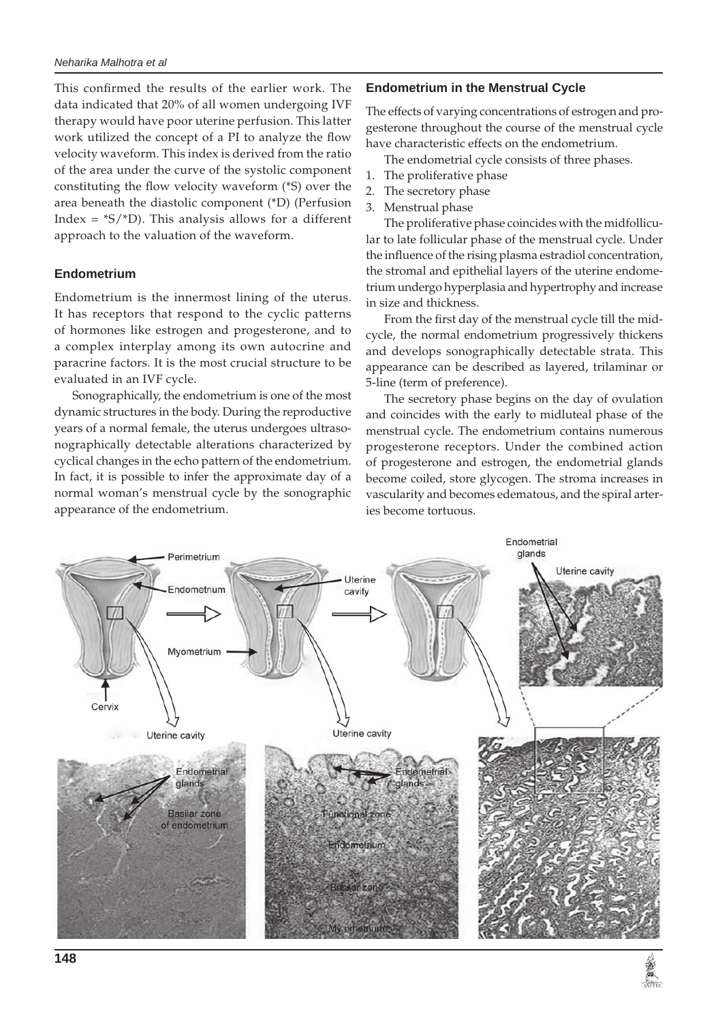This confirmed the results of the earlier work. The data indicated that 20% of all women undergoing IVF therapy would have poor uterine perfusion. This latter work utilized the concept of a PI to analyze the flow velocity waveform. This index is derived from the ratio of the area under the curve of the systolic component constituting the flow velocity waveform (\*S) over the area beneath the diastolic component (\*D) (Perfusion Index =  $*S/*D$ ). This analysis allows for a different approach to the valuation of the waveform.

#### **Endometrium**

Endometrium is the innermost lining of the uterus. It has receptors that respond to the cyclic patterns of hormones like estrogen and progesterone, and to a complex interplay among its own autocrine and paracrine factors. It is the most crucial structure to be evaluated in an IVF cycle.

Sonographically, the endometrium is one of the most dynamic structures in the body. During the reproductive years of a normal female, the uterus undergoes ultrasonographically detectable alterations characterized by cyclical changes in the echo pattern of the endometrium. In fact, it is possible to infer the approximate day of a normal woman's menstrual cycle by the sonographic appearance of the endometrium.

#### **Endometrium in the Menstrual Cycle**

The effects of varying concentrations of estrogen and progesterone throughout the course of the menstrual cycle have characteristic effects on the endometrium.

The endometrial cycle consists of three phases.

- 1. The proliferative phase
- 2. The secretory phase
- 3. Menstrual phase

The proliferative phase coincides with the midfollicular to late follicular phase of the menstrual cycle. Under the influence of the rising plasma estradiol concentration, the stromal and epithelial layers of the uterine endometrium undergo hyperplasia and hypertrophy and increase in size and thickness.

From the first day of the menstrual cycle till the midcycle, the normal endometrium progressively thickens and develops sonographically detectable strata. This appearance can be described as layered, trilaminar or 5-line (term of preference).

The secretory phase begins on the day of ovulation and coincides with the early to midluteal phase of the menstrual cycle. The endometrium contains numerous progesterone receptors. Under the combined action of progesterone and estrogen, the endometrial glands become coiled, store glycogen. The stroma increases in vascularity and becomes edematous, and the spiral arteries become tortuous.

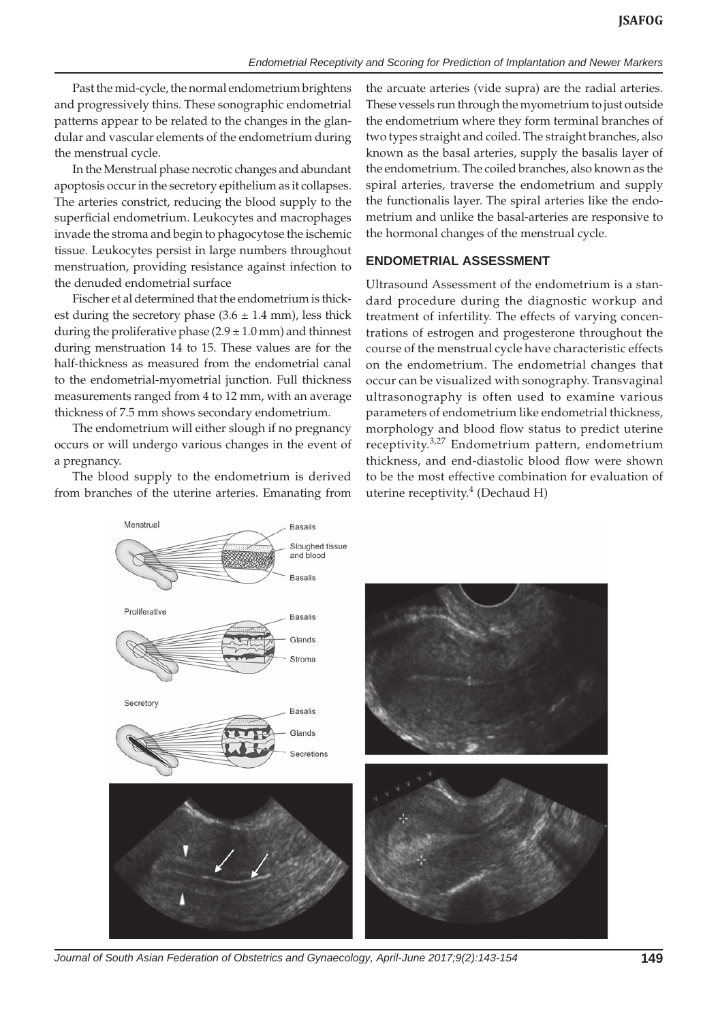Past the mid-cycle, the normal endometrium brightens and progressively thins. These sonographic endometrial patterns appear to be related to the changes in the glandular and vascular elements of the endometrium during the menstrual cycle.

In the Menstrual phase necrotic changes and abundant apoptosis occur in the secretory epithelium as it collapses. The arteries constrict, reducing the blood supply to the superficial endometrium. Leukocytes and macrophages invade the stroma and begin to phagocytose the ischemic tissue. Leukocytes persist in large numbers throughout menstruation, providing resistance against infection to the denuded endometrial surface

Fischer et al determined that the endometrium is thickest during the secretory phase  $(3.6 \pm 1.4 \text{ mm})$ , less thick during the proliferative phase  $(2.9 \pm 1.0 \text{ mm})$  and thinnest during menstruation 14 to 15. These values are for the half-thickness as measured from the endometrial canal to the endometrial-myometrial junction. Full thickness measurements ranged from 4 to 12 mm, with an average thickness of 7.5 mm shows secondary endometrium.

The endometrium will either slough if no pregnancy occurs or will undergo various changes in the event of a pregnancy.

The blood supply to the endometrium is derived from branches of the uterine arteries. Emanating from the arcuate arteries (vide supra) are the radial arteries. These vessels run through the myometrium to just outside the endometrium where they form terminal branches of two types straight and coiled. The straight branches, also known as the basal arteries, supply the basalis layer of the endometrium. The coiled branches, also known as the spiral arteries, traverse the endometrium and supply the functionalis layer. The spiral arteries like the endometrium and unlike the basal-arteries are responsive to the hormonal changes of the menstrual cycle.

#### **ENDOMETRIAL ASSESSMENT**

Ultrasound Assessment of the endometrium is a standard procedure during the diagnostic workup and treatment of infertility. The effects of varying concentrations of estrogen and progesterone throughout the course of the menstrual cycle have characteristic effects on the endometrium. The endometrial changes that occur can be visualized with sonography. Transvaginal ultrasonography is often used to examine various parameters of endometrium like endometrial thickness, morphology and blood flow status to predict uterine receptivity.<sup>3,27</sup> Endometrium pattern, endometrium thickness, and end-diastolic blood flow were shown to be the most effective combination for evaluation of uterine receptivity.<sup>4</sup> (Dechaud H)



*Journal of South Asian Federation of Obstetrics and Gynaecology, April-June 2017;9(2):143-154* **149**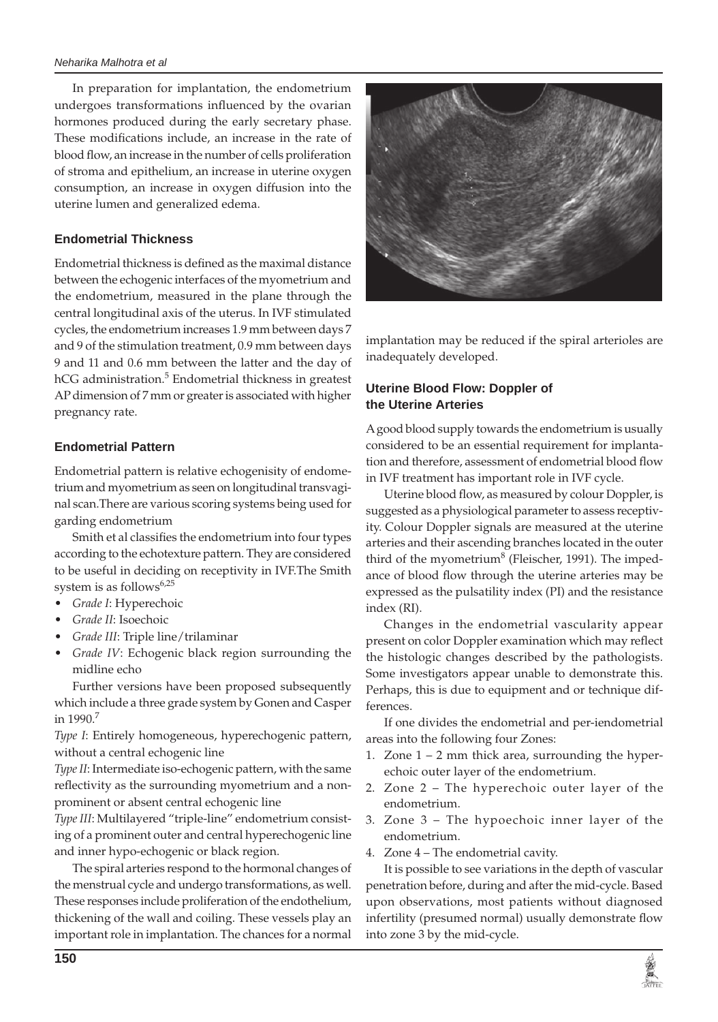#### *Neharika Malhotra et al*

In preparation for implantation, the endometrium undergoes transformations influenced by the ovarian hormones produced during the early secretary phase. These modifications include, an increase in the rate of blood flow, an increase in the number of cells proliferation of stroma and epithelium, an increase in uterine oxygen consumption, an increase in oxygen diffusion into the uterine lumen and generalized edema.

## **Endometrial Thickness**

Endometrial thickness is defined as the maximal distance between the echogenic interfaces of the myometrium and the endometrium, measured in the plane through the central longitudinal axis of the uterus. In IVF stimulated cycles, the endometrium increases 1.9 mm between days 7 and 9 of the stimulation treatment, 0.9 mm between days 9 and 11 and 0.6 mm between the latter and the day of hCG administration.<sup>5</sup> Endometrial thickness in greatest AP dimension of 7 mm or greater is associated with higher pregnancy rate.

## **Endometrial Pattern**

Endometrial pattern is relative echogenisity of endometrium and myometrium as seen on longitudinal transvaginal scan.There are various scoring systems being used for garding endometrium

Smith et al classifies the endometrium into four types according to the echotexture pattern. They are considered to be useful in deciding on receptivity in IVF.The Smith system is as follows $6.25$ 

- Grade I: Hyperechoic
- Grade II: Isoechoic
- Grade III: Triple line/trilaminar
- Grade IV: Echogenic black region surrounding the midline echo

Further versions have been proposed subsequently which include a three grade system by Gonen and Casper in 1990.7

*Type I*: Entirely homogeneous, hyperechogenic pattern, without a central echogenic line

*Type II*: Intermediate iso-echogenic pattern, with the same reflectivity as the surrounding myometrium and a nonprominent or absent central echogenic line

*Type III*: Multilayered "triple-line" endometrium consisting of a prominent outer and central hyperechogenic line and inner hypo-echogenic or black region.

The spiral arteries respond to the hormonal changes of the menstrual cycle and undergo transformations, as well. These responses include proliferation of the endothelium, thickening of the wall and coiling. These vessels play an important role in implantation. The chances for a normal



implantation may be reduced if the spiral arterioles are inadequately developed.

# **Uterine Blood Flow: Doppler of the Uterine Arteries**

A good blood supply towards the endometrium is usually considered to be an essential requirement for implantation and therefore, assessment of endometrial blood flow in IVF treatment has important role in IVF cycle.

Uterine blood flow, as measured by colour Doppler, is suggested as a physiological parameter to assess receptivity. Colour Doppler signals are measured at the uterine arteries and their ascending branches located in the outer third of the myometrium<sup>8</sup> (Fleischer, 1991). The impedance of blood flow through the uterine arteries may be expressed as the pulsatility index (PI) and the resistance index (RI).

Changes in the endometrial vascularity appear present on color Doppler examination which may reflect the histologic changes described by the pathologists. Some investigators appear unable to demonstrate this. Perhaps, this is due to equipment and or technique differences.

If one divides the endometrial and per-iendometrial areas into the following four Zones:

- 1. Zone 1 2 mm thick area, surrounding the hyperechoic outer layer of the endometrium.
- 2. Zone 2 The hyperechoic outer layer of the endometrium.
- 3. Zone 3 The hypoechoic inner layer of the endometrium.
- 4. Zone 4 The endometrial cavity.

It is possible to see variations in the depth of vascular penetration before, during and after the mid-cycle. Based upon observations, most patients without diagnosed infertility (presumed normal) usually demonstrate flow into zone 3 by the mid-cycle.

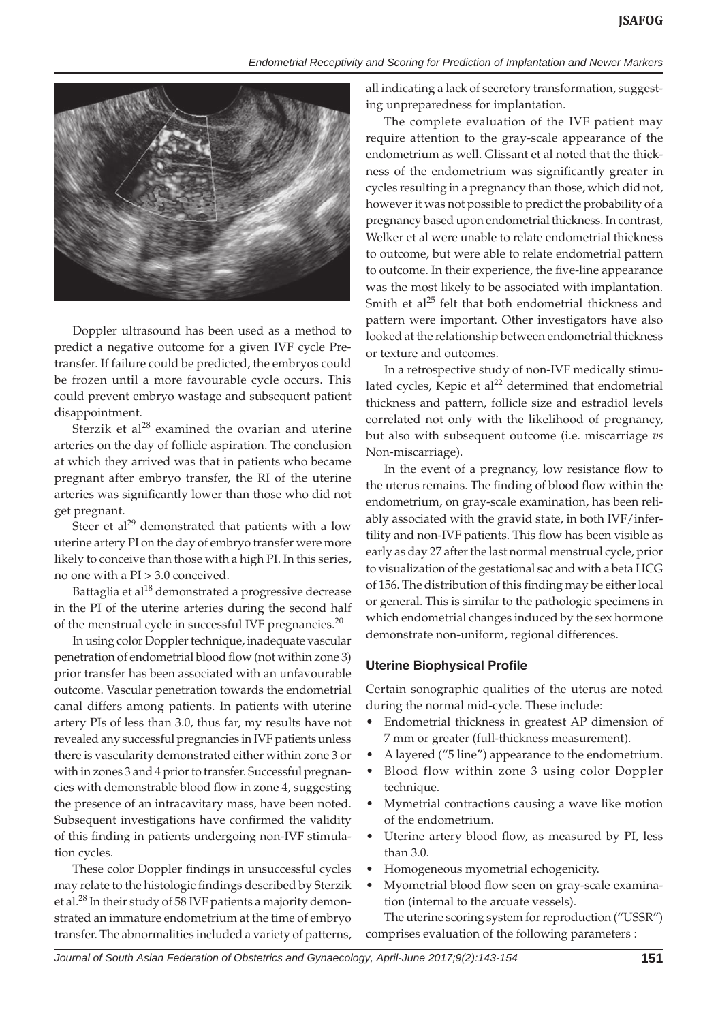

Doppler ultrasound has been used as a method to predict a negative outcome for a given IVF cycle Pretransfer. If failure could be predicted, the embryos could be frozen until a more favourable cycle occurs. This could prevent embryo wastage and subsequent patient disappointment.

Sterzik et al $^{28}$  examined the ovarian and uterine arteries on the day of follicle aspiration. The conclusion at which they arrived was that in patients who became pregnant after embryo transfer, the RI of the uterine arteries was significantly lower than those who did not get pregnant.

Steer et al<sup>29</sup> demonstrated that patients with a low uterine artery PI on the day of embryo transfer were more likely to conceive than those with a high PI. In this series, no one with a PI > 3.0 conceived.

Battaglia et al<sup>18</sup> demonstrated a progressive decrease in the PI of the uterine arteries during the second half of the menstrual cycle in successful IVF pregnancies.<sup>20</sup>

In using color Doppler technique, inadequate vascular penetration of endometrial blood flow (not within zone 3) prior transfer has been associated with an unfavourable outcome. Vascular penetration towards the endometrial canal differs among patients. In patients with uterine artery PIs of less than 3.0, thus far, my results have not revealed any successful pregnancies in IVF patients unless there is vascularity demonstrated either within zone 3 or with in zones 3 and 4 prior to transfer. Successful pregnancies with demonstrable blood flow in zone 4, suggesting the presence of an intracavitary mass, have been noted. Subsequent investigations have confirmed the validity of this finding in patients undergoing non-IVF stimulation cycles.

These color Doppler findings in unsuccessful cycles may relate to the histologic findings described by Sterzik et al.28 In their study of 58 IVF patients a majority demonstrated an immature endometrium at the time of embryo transfer. The abnormalities included a variety of patterns,

all indicating a lack of secretory transformation, suggesting unpreparedness for implantation.

The complete evaluation of the IVF patient may require attention to the gray-scale appearance of the endometrium as well. Glissant et al noted that the thickness of the endometrium was significantly greater in cycles resulting in a pregnancy than those, which did not, however it was not possible to predict the probability of a pregnancy based upon endometrial thickness. In contrast, Welker et al were unable to relate endometrial thickness to outcome, but were able to relate endometrial pattern to outcome. In their experience, the five-line appearance was the most likely to be associated with implantation. Smith et al<sup>25</sup> felt that both endometrial thickness and pattern were important. Other investigators have also looked at the relationship between endometrial thickness or texture and outcomes.

In a retrospective study of non-IVF medically stimulated cycles, Kepic et al<sup>22</sup> determined that endometrial thickness and pattern, follicle size and estradiol levels correlated not only with the likelihood of pregnancy, but also with subsequent outcome (i.e. miscarriage *vs* Non-miscarriage).

In the event of a pregnancy, low resistance flow to the uterus remains. The finding of blood flow within the endometrium, on gray-scale examination, has been reliably associated with the gravid state, in both IVF/infertility and non-IVF patients. This flow has been visible as early as day 27 after the last normal menstrual cycle, prior to visualization of the gestational sac and with a beta HCG of 156. The distribution of this finding may be either local or general. This is similar to the pathologic specimens in which endometrial changes induced by the sex hormone demonstrate non-uniform, regional differences.

## **Uterine Biophysical Profile**

Certain sonographic qualities of the uterus are noted during the normal mid-cycle. These include:

- Endometrial thickness in greatest AP dimension of 7 mm or greater (full-thickness measurement).
- A layered ("5 line") appearance to the endometrium.
- • Blood flow within zone 3 using color Doppler technique.
- Mymetrial contractions causing a wave like motion of the endometrium.
- Uterine artery blood flow, as measured by PI, less than 3.0.
- Homogeneous myometrial echogenicity.
- Myometrial blood flow seen on gray-scale examination (internal to the arcuate vessels).

The uterine scoring system for reproduction ("USSR") comprises evaluation of the following parameters :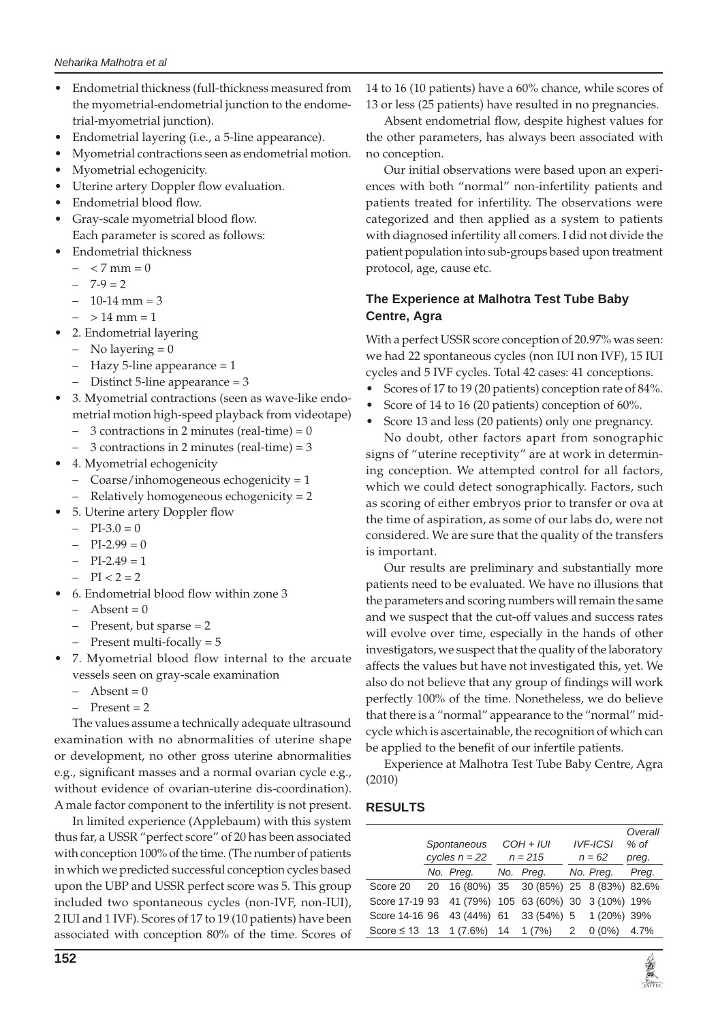- Endometrial thickness (full-thickness measured from the myometrial-endometrial junction to the endometrial-myometrial junction).
- Endometrial layering (i.e., a 5-line appearance).
- Myometrial contractions seen as endometrial motion.
- Myometrial echogenicity.
- Uterine artery Doppler flow evaluation.
- Endometrial blood flow.
- Gray-scale myometrial blood flow. Each parameter is scored as follows:
	- **Endometrial thickness**
	- $< 7$  mm = 0
	- $-7-9=2$
	- $-10-14$  mm = 3
	- $-$  > 14 mm = 1
- 2. Endometrial layering
- No layering  $= 0$
- Hazy 5-line appearance = 1
- Distinct 5-line appearance = 3
- 3. Myometrial contractions (seen as wave-like endometrial motion high-speed playback from videotape)
	- $-$  3 contractions in 2 minutes (real-time) = 0
	- 3 contractions in 2 minutes (real-time) = 3
- 4. Myometrial echogenicity
	- Coarse/inhomogeneous echogenicity = 1
	- Relatively homogeneous echogenicity = 2
- • 5. Uterine artery Doppler flow
	- $-$  PI-3.0 = 0
	- $-$  PI-2.99 = 0
	- $-$  PI-2.49 = 1
	- $-$  PI < 2 = 2
- 6. Endometrial blood flow within zone 3
	- $-$  Absent = 0
	- Present, but sparse = 2
	- Present multi-focally = 5
- 7. Myometrial blood flow internal to the arcuate vessels seen on gray-scale examination
	- $-$  Absent = 0
	- $Present = 2$

The values assume a technically adequate ultrasound examination with no abnormalities of uterine shape or development, no other gross uterine abnormalities e.g., significant masses and a normal ovarian cycle e.g., without evidence of ovarian-uterine dis-coordination). A male factor component to the infertility is not present.

In limited experience (Applebaum) with this system thus far, a USSR "perfect score" of 20 has been associated with conception 100% of the time. (The number of patients in which we predicted successful conception cycles based upon the UBP and USSR perfect score was 5. This group included two spontaneous cycles (non-IVF, non-IUI), 2 IUI and 1 IVF). Scores of 17 to 19 (10 patients) have been associated with conception 80% of the time. Scores of 14 to 16 (10 patients) have a 60% chance, while scores of 13 or less (25 patients) have resulted in no pregnancies.

Absent endometrial flow, despite highest values for the other parameters, has always been associated with no conception.

Our initial observations were based upon an experiences with both "normal" non-infertility patients and patients treated for infertility. The observations were categorized and then applied as a system to patients with diagnosed infertility all comers. I did not divide the patient population into sub-groups based upon treatment protocol, age, cause etc.

# **The Experience at Malhotra Test Tube Baby Centre, Agra**

With a perfect USSR score conception of 20.97% was seen: we had 22 spontaneous cycles (non IUI non IVF), 15 IUI cycles and 5 IVF cycles. Total 42 cases: 41 conceptions.

- Scores of 17 to 19 (20 patients) conception rate of 84%.
- Score of 14 to 16 (20 patients) conception of 60%.
- Score 13 and less (20 patients) only one pregnancy.

No doubt, other factors apart from sonographic signs of "uterine receptivity" are at work in determining conception. We attempted control for all factors, which we could detect sonographically. Factors, such as scoring of either embryos prior to transfer or ova at the time of aspiration, as some of our labs do, were not considered. We are sure that the quality of the transfers is important.

Our results are preliminary and substantially more patients need to be evaluated. We have no illusions that the parameters and scoring numbers will remain the same and we suspect that the cut-off values and success rates will evolve over time, especially in the hands of other investigators, we suspect that the quality of the laboratory affects the values but have not investigated this, yet. We also do not believe that any group of findings will work perfectly 100% of the time. Nonetheless, we do believe that there is a "normal" appearance to the "normal" midcycle which is ascertainable, the recognition of which can be applied to the benefit of our infertile patients.

Experience at Malhotra Test Tube Baby Centre, Agra (2010)

# **RESULTS**

|                                                     |                                |                                          |                          |            |                             |             | Overall<br>$%$ of |
|-----------------------------------------------------|--------------------------------|------------------------------------------|--------------------------|------------|-----------------------------|-------------|-------------------|
|                                                     | Spontaneous<br>cycles $n = 22$ |                                          | $COH + IUI$<br>$n = 215$ |            | <b>IVF-ICSI</b><br>$n = 62$ |             | preg.             |
|                                                     |                                | No. Preg.                                |                          | No. Preg.  |                             | No. Preg.   | Preg.             |
| Score 20                                            |                                | 20 16 (80%) 35 30 (85%) 25 8 (83%) 82.6% |                          |            |                             |             |                   |
| Score 17-19 93 41 (79%) 105 63 (60%) 30 3 (10%) 19% |                                |                                          |                          |            |                             |             |                   |
| Score 14-16 96 43 (44%) 61                          |                                |                                          |                          | 33 (54%) 5 |                             | 1 (20%) 39% |                   |
| Score $\leq$ 13 13 1 (7.6%) 14                      |                                |                                          |                          | 1(7%)      | 2                           | $0(0\%)$    | 4.7%              |

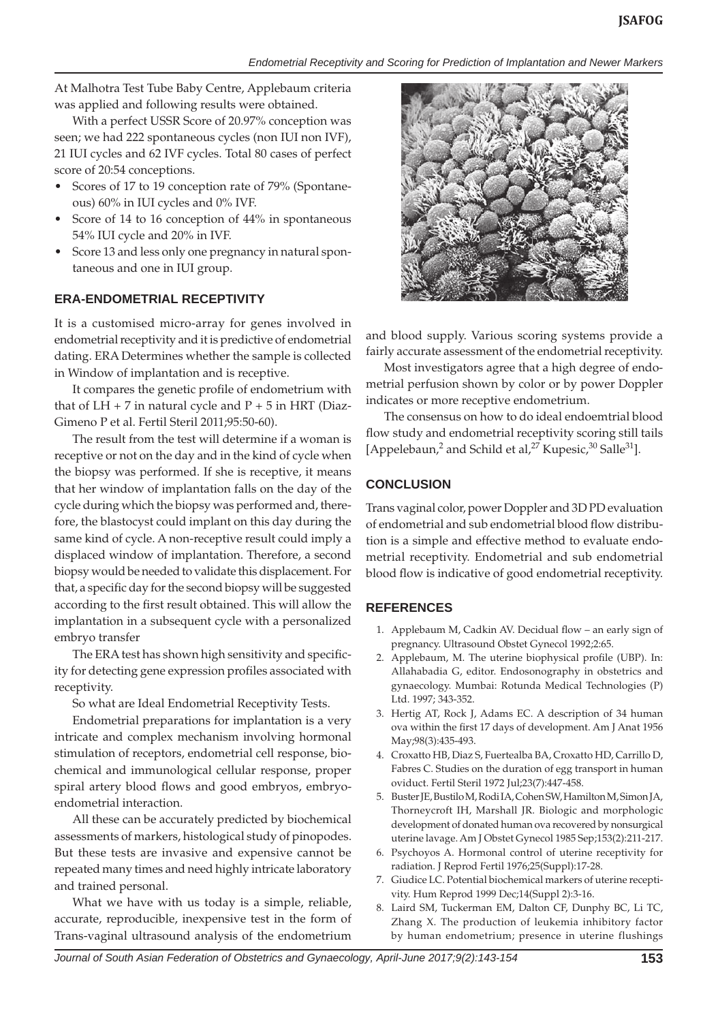*Endometrial Receptivity and Scoring for Prediction of Implantation and Newer Markers*

At Malhotra Test Tube Baby Centre, Applebaum criteria was applied and following results were obtained.

With a perfect USSR Score of 20.97% conception was seen; we had 222 spontaneous cycles (non IUI non IVF), 21 IUI cycles and 62 IVF cycles. Total 80 cases of perfect score of 20:54 conceptions.

- Scores of 17 to 19 conception rate of 79% (Spontaneous) 60% in IUI cycles and 0% IVF.
- Score of 14 to 16 conception of 44% in spontaneous 54% IUI cycle and 20% in IVF.
- Score 13 and less only one pregnancy in natural spontaneous and one in IUI group.

# **ERA-ENDOMETRIAL RECEPTIVITY**

It is a customised micro-array for genes involved in endometrial receptivity and it is predictive of endometrial dating. ERA Determines whether the sample is collected in Window of implantation and is receptive.

It compares the genetic profile of endometrium with that of  $LH + 7$  in natural cycle and  $P + 5$  in HRT (Diaz-Gimeno P et al. Fertil Steril 2011;95:50-60).

The result from the test will determine if a woman is receptive or not on the day and in the kind of cycle when the biopsy was performed. If she is receptive, it means that her window of implantation falls on the day of the cycle during which the biopsy was performed and, therefore, the blastocyst could implant on this day during the same kind of cycle. A non-receptive result could imply a displaced window of implantation. Therefore, a second biopsy would be needed to validate this displacement. For that, a specific day for the second biopsy will be suggested according to the first result obtained. This will allow the implantation in a subsequent cycle with a personalized embryo transfer

The ERA test has shown high sensitivity and specificity for detecting gene expression profiles associated with receptivity.

So what are Ideal Endometrial Receptivity Tests.

Endometrial preparations for implantation is a very intricate and complex mechanism involving hormonal stimulation of receptors, endometrial cell response, biochemical and immunological cellular response, proper spiral artery blood flows and good embryos, embryoendometrial interaction.

All these can be accurately predicted by biochemical assessments of markers, histological study of pinopodes. But these tests are invasive and expensive cannot be repeated many times and need highly intricate laboratory and trained personal.

What we have with us today is a simple, reliable, accurate, reproducible, inexpensive test in the form of Trans-vaginal ultrasound analysis of the endometrium



and blood supply. Various scoring systems provide a fairly accurate assessment of the endometrial receptivity.

Most investigators agree that a high degree of endometrial perfusion shown by color or by power Doppler indicates or more receptive endometrium.

The consensus on how to do ideal endoemtrial blood flow study and endometrial receptivity scoring still tails [Appelebaun,<sup>2</sup> and Schild et al,<sup>27</sup> Kupesic,<sup>30</sup> Salle<sup>31</sup>].

# **CONCLUSION**

Trans vaginal color, power Doppler and 3D PD evaluation of endometrial and sub endometrial blood flow distribution is a simple and effective method to evaluate endometrial receptivity. Endometrial and sub endometrial blood flow is indicative of good endometrial receptivity.

## **REFERENCES**

- 1. Applebaum M, Cadkin AV. Decidual flow an early sign of pregnancy. Ultrasound Obstet Gynecol 1992;2:65.
- 2. Applebaum, M. The uterine biophysical profile (UBP). In: Allahabadia G, editor. Endosonography in obstetrics and gynaecology. Mumbai: Rotunda Medical Technologies (P) Ltd. 1997; 343-352.
- 3. Hertig AT, Rock J, Adams EC. A description of 34 human ova within the first 17 days of development. Am J Anat 1956 May;98(3):435-493.
- 4. Croxatto HB, Diaz S, Fuertealba BA, Croxatto HD, Carrillo D, Fabres C. Studies on the duration of egg transport in human oviduct. Fertil Steril 1972 Jul;23(7):447-458.
- 5. Buster JE, Bustilo M, Rodi IA, Cohen SW, Hamilton M, Simon JA, Thorneycroft IH, Marshall JR. Biologic and morphologic development of donated human ova recovered by nonsurgical uterine lavage. Am J Obstet Gynecol 1985 Sep;153(2):211-217.
- 6. Psychoyos A. Hormonal control of uterine receptivity for radiation. J Reprod Fertil 1976;25(Suppl):17-28.
- 7. Giudice LC. Potential biochemical markers of uterine receptivity. Hum Reprod 1999 Dec;14(Suppl 2):3-16.
- 8. Laird SM, Tuckerman EM, Dalton CF, Dunphy BC, Li TC, Zhang X. The production of leukemia inhibitory factor by human endometrium; presence in uterine flushings